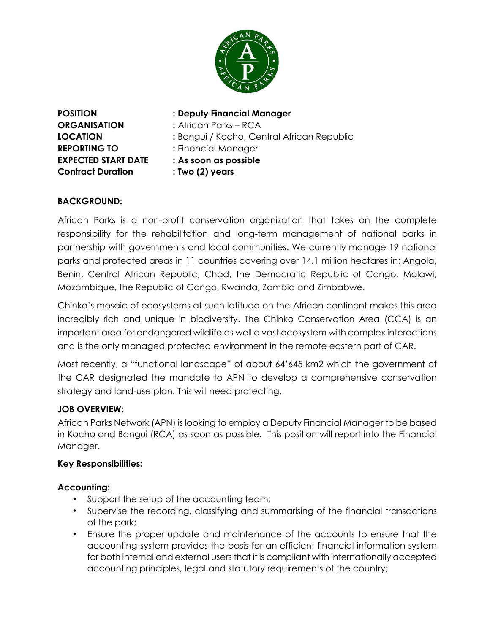

**ORGANISATION :** African Parks – RCA **REPORTING TO :** Financial Manager **EXPECTED START DATE : As soon as possible Contract Duration : Two (2) years**

## **POSITION : Deputy Financial Manager**

- **LOCATION :** Bangui / Kocho, Central African Republic
	-
	-

# **BACKGROUND:**

African Parks is a non-profit conservation organization that takes on the complete responsibility for the rehabilitation and long-term management of national parks in partnership with governments and local communities. We currently manage 19 national parks and protected areas in 11 countries covering over 14.1 million hectares in: Angola, Benin, Central African Republic, Chad, the Democratic Republic of Congo, Malawi, Mozambique, the Republic of Congo, Rwanda, Zambia and Zimbabwe.

Chinko's mosaic of ecosystems at such latitude on the African continent makes this area incredibly rich and unique in biodiversity. The Chinko Conservation Area (CCA) is an important area for endangered wildlife as well a vast ecosystem with complex interactions and is the only managed protected environment in the remote eastern part of CAR.

Most recently, a "functional landscape" of about 64'645 km2 which the government of the CAR designated the mandate to APN to develop a comprehensive conservation strategy and land-use plan. This will need protecting.

## **JOB OVERVIEW:**

African Parks Network (APN) is looking to employ a Deputy Financial Manager to be based in Kocho and Bangui (RCA) as soon as possible. This position will report into the Financial Manager.

## **Key Responsibilities:**

## **Accounting:**

- Support the setup of the accounting team;
- Supervise the recording, classifying and summarising of the financial transactions of the park;
- Ensure the proper update and maintenance of the accounts to ensure that the accounting system provides the basis for an efficient financial information system for both internal and external users that it is compliant with internationally accepted accounting principles, legal and statutory requirements of the country;